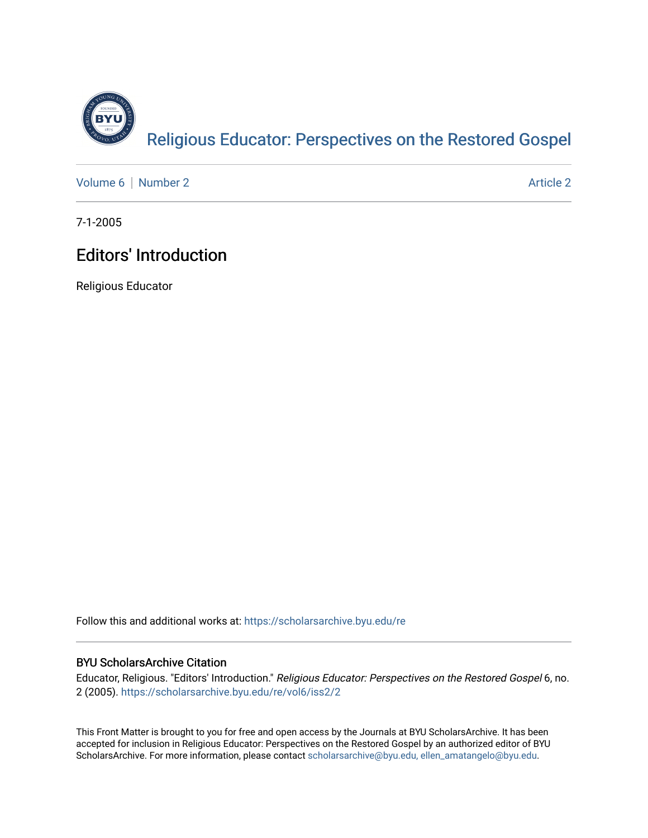

[Volume 6](https://scholarsarchive.byu.edu/re/vol6) | [Number 2](https://scholarsarchive.byu.edu/re/vol6/iss2) Article 2

7-1-2005

## Editors' Introduction

Religious Educator

Follow this and additional works at: [https://scholarsarchive.byu.edu/re](https://scholarsarchive.byu.edu/re?utm_source=scholarsarchive.byu.edu%2Fre%2Fvol6%2Fiss2%2F2&utm_medium=PDF&utm_campaign=PDFCoverPages)

## BYU ScholarsArchive Citation

Educator, Religious. "Editors' Introduction." Religious Educator: Perspectives on the Restored Gospel 6, no. 2 (2005). [https://scholarsarchive.byu.edu/re/vol6/iss2/2](https://scholarsarchive.byu.edu/re/vol6/iss2/2?utm_source=scholarsarchive.byu.edu%2Fre%2Fvol6%2Fiss2%2F2&utm_medium=PDF&utm_campaign=PDFCoverPages) 

This Front Matter is brought to you for free and open access by the Journals at BYU ScholarsArchive. It has been accepted for inclusion in Religious Educator: Perspectives on the Restored Gospel by an authorized editor of BYU ScholarsArchive. For more information, please contact [scholarsarchive@byu.edu, ellen\\_amatangelo@byu.edu.](mailto:scholarsarchive@byu.edu,%20ellen_amatangelo@byu.edu)